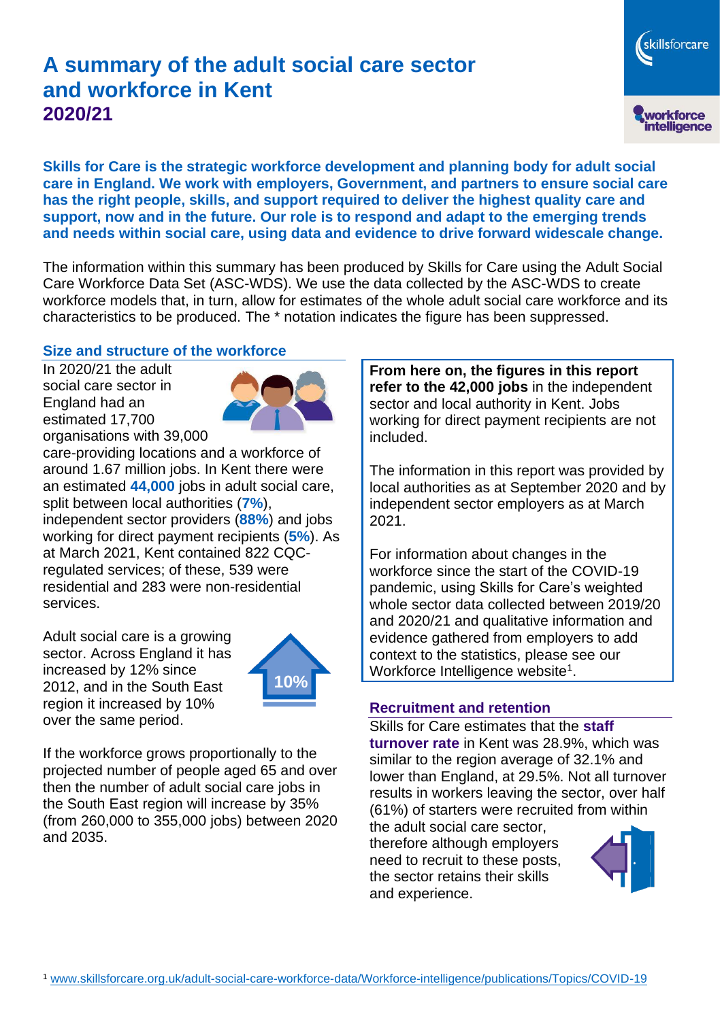# **A summary of the adult social care sector and workforce in Kent 2020/21**

skillsforcare workforce<br>intelligence

**Skills for Care is the strategic workforce development and planning body for adult social care in England. We work with employers, Government, and partners to ensure social care has the right people, skills, and support required to deliver the highest quality care and support, now and in the future. Our role is to respond and adapt to the emerging trends and needs within social care, using data and evidence to drive forward widescale change.**

The information within this summary has been produced by Skills for Care using the Adult Social Care Workforce Data Set (ASC-WDS). We use the data collected by the ASC-WDS to create workforce models that, in turn, allow for estimates of the whole adult social care workforce and its characteristics to be produced. The \* notation indicates the figure has been suppressed.

#### **Size and structure of the workforce**

In 2020/21 the adult social care sector in England had an estimated 17,700 organisations with 39,000



care-providing locations and a workforce of around 1.67 million jobs. In Kent there were an estimated **44,000** jobs in adult social care, split between local authorities (**7%**), independent sector providers (**88%**) and jobs working for direct payment recipients (**5%**). As at March 2021, Kent contained 822 CQCregulated services; of these, 539 were residential and 283 were non-residential services.

Adult social care is a growing sector. Across England it has increased by 12% since 2012, and in the South East region it increased by 10% over the same period.



If the workforce grows proportionally to the projected number of people aged 65 and over then the number of adult social care jobs in the South East region will increase by 35% (from 260,000 to 355,000 jobs) between 2020 and 2035.

**From here on, the figures in this report refer to the 42,000 jobs** in the independent sector and local authority in Kent. Jobs working for direct payment recipients are not included.

The information in this report was provided by local authorities as at September 2020 and by independent sector employers as at March 2021.

For information about changes in the workforce since the start of the COVID-19 pandemic, using Skills for Care's weighted whole sector data collected between 2019/20 and 2020/21 and qualitative information and evidence gathered from employers to add context to the statistics, please see our Workforce Intelligence website<sup>1</sup>.

#### **Recruitment and retention**

Skills for Care estimates that the **staff turnover rate** in Kent was 28.9%, which was similar to the region average of 32.1% and lower than England, at 29.5%. Not all turnover results in workers leaving the sector, over half (61%) of starters were recruited from within

the adult social care sector, therefore although employers need to recruit to these posts, the sector retains their skills and experience.

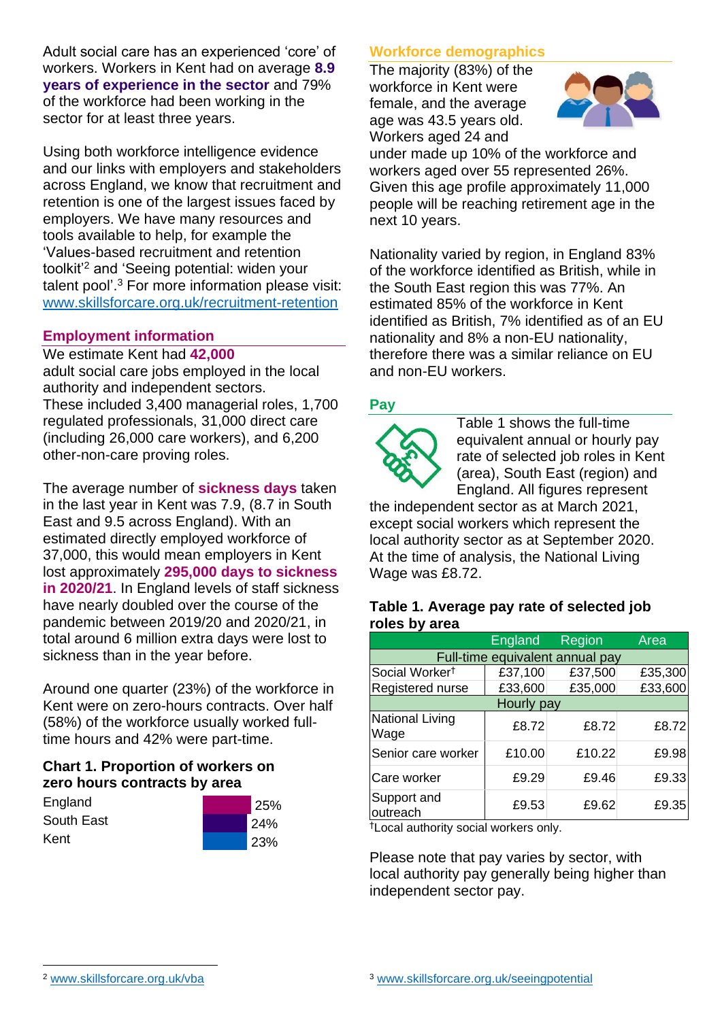Adult social care has an experienced 'core' of workers. Workers in Kent had on average **8.9 years of experience in the sector** and 79% of the workforce had been working in the sector for at least three years.

Using both workforce intelligence evidence and our links with employers and stakeholders across England, we know that recruitment and retention is one of the largest issues faced by employers. We have many resources and tools available to help, for example the 'Values-based recruitment and retention toolkit'<sup>2</sup> and 'Seeing potential: widen your talent pool'. <sup>3</sup> For more information please visit: [www.skillsforcare.org.uk/recruitment-retention](http://www.skillsforcare.org.uk/recruitment-retention)

#### **Employment information**

#### We estimate Kent had **42,000**

adult social care jobs employed in the local authority and independent sectors. These included 3,400 managerial roles, 1,700 regulated professionals, 31,000 direct care (including 26,000 care workers), and 6,200 other-non-care proving roles.

The average number of **sickness days** taken in the last year in Kent was 7.9, (8.7 in South East and 9.5 across England). With an estimated directly employed workforce of 37,000, this would mean employers in Kent lost approximately **295,000 days to sickness in 2020/21**. In England levels of staff sickness have nearly doubled over the course of the pandemic between 2019/20 and 2020/21, in total around 6 million extra days were lost to sickness than in the year before.

Around one quarter (23%) of the workforce in Kent were on zero-hours contracts. Over half (58%) of the workforce usually worked fulltime hours and 42% were part-time.

### **Chart 1. Proportion of workers on zero hours contracts by area**

| England    | 25% |
|------------|-----|
| South East | 24% |
| Kent       | 23% |

### **Workforce demographics**

The majority (83%) of the workforce in Kent were female, and the average age was 43.5 years old. Workers aged 24 and



under made up 10% of the workforce and workers aged over 55 represented 26%. Given this age profile approximately 11,000 people will be reaching retirement age in the next 10 years.

Nationality varied by region, in England 83% of the workforce identified as British, while in the South East region this was 77%. An estimated 85% of the workforce in Kent identified as British, 7% identified as of an EU nationality and 8% a non-EU nationality, therefore there was a similar reliance on EU and non-EU workers.

### **Pay**



Table 1 shows the full-time equivalent annual or hourly pay rate of selected job roles in Kent (area), South East (region) and England. All figures represent

the independent sector as at March 2021, except social workers which represent the local authority sector as at September 2020. At the time of analysis, the National Living Wage was £8.72.

#### **Table 1. Average pay rate of selected job roles by area**

|                                 | <b>England</b> | Region  | Area    |
|---------------------------------|----------------|---------|---------|
| Full-time equivalent annual pay |                |         |         |
| Social Worker <sup>t</sup>      | £37,100        | £37,500 | £35,300 |
| Registered nurse                | £33,600        | £35,000 | £33,600 |
| Hourly pay                      |                |         |         |
| National Living<br>Wage         | £8.72          | £8.72   | £8.72   |
| Senior care worker              | £10.00         | £10.22  | £9.98   |
| Care worker                     | £9.29          | £9.46   | £9.33   |
| Support and<br>outreach         | £9.53          | £9.62   | £9.35   |

†Local authority social workers only.

Please note that pay varies by sector, with local authority pay generally being higher than independent sector pay.

[www.skillsforcare.org.uk/vba](http://www.skillsforcare.org.uk/vba)